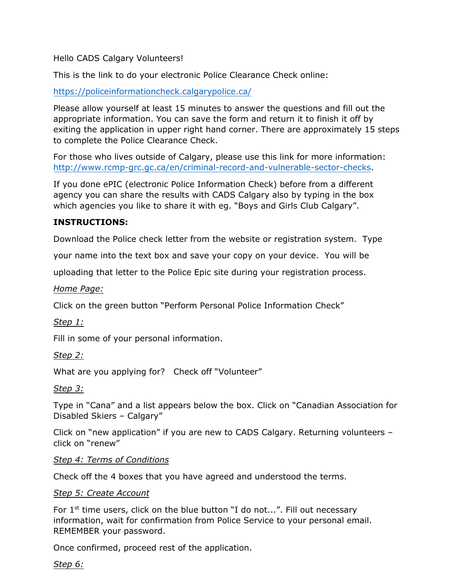Hello CADS Calgary Volunteers!

This is the link to do your electronic Police Clearance Check online:

<https://policeinformationcheck.calgarypolice.ca/>

Please allow yourself at least 15 minutes to answer the questions and fill out the appropriate information. You can save the form and return it to finish it off by exiting the application in upper right hand corner. There are approximately 15 steps to complete the Police Clearance Check.

For those who lives outside of Calgary, please use this link for more information: [http://www.rcmp-grc.gc.ca/en/criminal-record-and-vulnerable-sector-checks.](http://www.rcmp-grc.gc.ca/en/criminal-record-and-vulnerable-sector-checks)

If you done ePIC (electronic Police Information Check) before from a different agency you can share the results with CADS Calgary also by typing in the box which agencies you like to share it with eg. "Boys and Girls Club Calgary".

### **INSTRUCTIONS:**

Download the Police check letter from the website or registration system. Type

your name into the text box and save your copy on your device. You will be

uploading that letter to the Police Epic site during your registration process.

*Home Page:*

Click on the green button "Perform Personal Police Information Check"

*Step 1:*

Fill in some of your personal information.

*Step 2:*

What are you applying for? Check off "Volunteer"

*Step 3:*

Type in "Cana" and a list appears below the box. Click on "Canadian Association for Disabled Skiers – Calgary"

Click on "new application" if you are new to CADS Calgary. Returning volunteers – click on "renew"

#### *Step 4: Terms of Conditions*

Check off the 4 boxes that you have agreed and understood the terms.

#### *Step 5: Create Account*

For  $1<sup>st</sup>$  time users, click on the blue button "I do not...". Fill out necessary information, wait for confirmation from Police Service to your personal email. REMEMBER your password.

Once confirmed, proceed rest of the application.

*Step 6:*